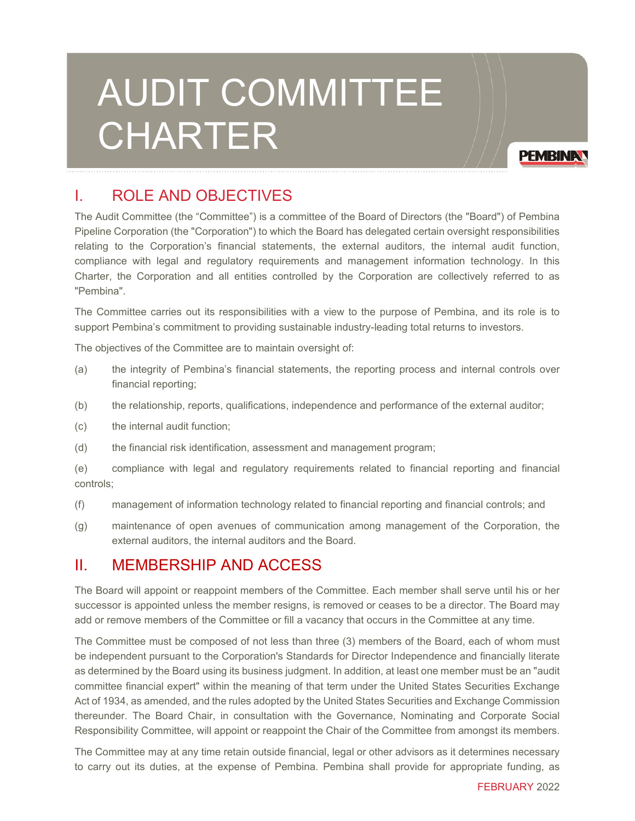# AUDIT COMMITTEE CHARTER

**PEMBINA** 

## I. ROLE AND OBJECTIVES

The Audit Committee (the "Committee") is a committee of the Board of Directors (the "Board") of Pembina Pipeline Corporation (the "Corporation") to which the Board has delegated certain oversight responsibilities relating to the Corporation's financial statements, the external auditors, the internal audit function, compliance with legal and regulatory requirements and management information technology. In this Charter, the Corporation and all entities controlled by the Corporation are collectively referred to as "Pembina".

The Committee carries out its responsibilities with a view to the purpose of Pembina, and its role is to support Pembina's commitment to providing sustainable industry-leading total returns to investors.

The objectives of the Committee are to maintain oversight of:

- (a) the integrity of Pembina's financial statements, the reporting process and internal controls over financial reporting;
- (b) the relationship, reports, qualifications, independence and performance of the external auditor;
- (c) the internal audit function;
- (d) the financial risk identification, assessment and management program;

(e) compliance with legal and regulatory requirements related to financial reporting and financial controls;

- (f) management of information technology related to financial reporting and financial controls; and
- (g) maintenance of open avenues of communication among management of the Corporation, the external auditors, the internal auditors and the Board.

## II. MEMBERSHIP AND ACCESS

The Board will appoint or reappoint members of the Committee. Each member shall serve until his or her successor is appointed unless the member resigns, is removed or ceases to be a director. The Board may add or remove members of the Committee or fill a vacancy that occurs in the Committee at any time.

The Committee must be composed of not less than three (3) members of the Board, each of whom must be independent pursuant to the Corporation's Standards for Director Independence and financially literate as determined by the Board using its business judgment. In addition, at least one member must be an "audit committee financial expert" within the meaning of that term under the United States Securities Exchange Act of 1934, as amended, and the rules adopted by the United States Securities and Exchange Commission thereunder. The Board Chair, in consultation with the Governance, Nominating and Corporate Social Responsibility Committee, will appoint or reappoint the Chair of the Committee from amongst its members.

The Committee may at any time retain outside financial, legal or other advisors as it determines necessary to carry out its duties, at the expense of Pembina. Pembina shall provide for appropriate funding, as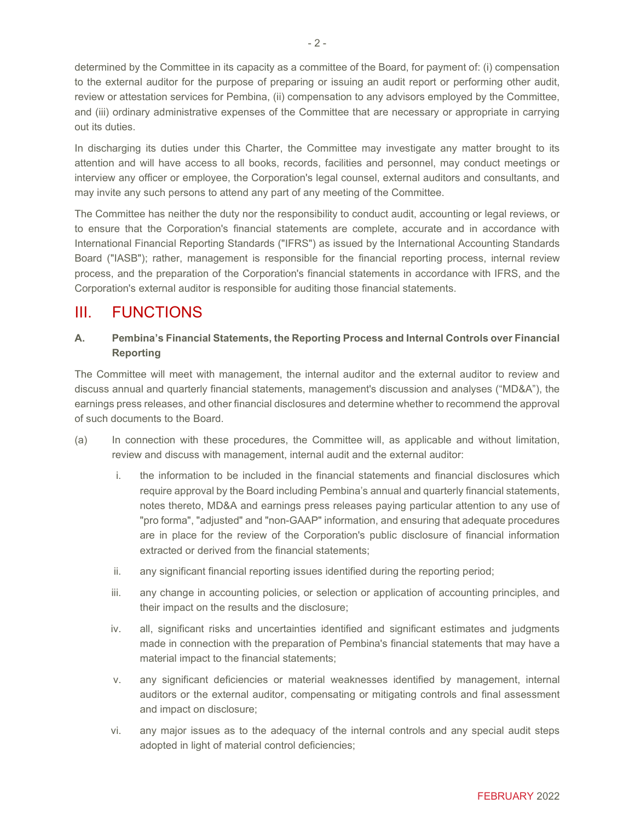determined by the Committee in its capacity as a committee of the Board, for payment of: (i) compensation to the external auditor for the purpose of preparing or issuing an audit report or performing other audit, review or attestation services for Pembina, (ii) compensation to any advisors employed by the Committee, and (iii) ordinary administrative expenses of the Committee that are necessary or appropriate in carrying out its duties.

In discharging its duties under this Charter, the Committee may investigate any matter brought to its attention and will have access to all books, records, facilities and personnel, may conduct meetings or interview any officer or employee, the Corporation's legal counsel, external auditors and consultants, and may invite any such persons to attend any part of any meeting of the Committee.

The Committee has neither the duty nor the responsibility to conduct audit, accounting or legal reviews, or to ensure that the Corporation's financial statements are complete, accurate and in accordance with International Financial Reporting Standards ("IFRS") as issued by the International Accounting Standards Board ("IASB"); rather, management is responsible for the financial reporting process, internal review process, and the preparation of the Corporation's financial statements in accordance with IFRS, and the Corporation's external auditor is responsible for auditing those financial statements.

## III. FUNCTIONS

### **A. Pembina's Financial Statements, the Reporting Process and Internal Controls over Financial Reporting**

The Committee will meet with management, the internal auditor and the external auditor to review and discuss annual and quarterly financial statements, management's discussion and analyses ("MD&A"), the earnings press releases, and other financial disclosures and determine whether to recommend the approval of such documents to the Board.

- (a) In connection with these procedures, the Committee will, as applicable and without limitation, review and discuss with management, internal audit and the external auditor:
	- i. the information to be included in the financial statements and financial disclosures which require approval by the Board including Pembina's annual and quarterly financial statements, notes thereto, MD&A and earnings press releases paying particular attention to any use of "pro forma", "adjusted" and "non-GAAP" information, and ensuring that adequate procedures are in place for the review of the Corporation's public disclosure of financial information extracted or derived from the financial statements;
	- ii. any significant financial reporting issues identified during the reporting period;
	- iii. any change in accounting policies, or selection or application of accounting principles, and their impact on the results and the disclosure;
	- iv. all, significant risks and uncertainties identified and significant estimates and judgments made in connection with the preparation of Pembina's financial statements that may have a material impact to the financial statements;
	- v. any significant deficiencies or material weaknesses identified by management, internal auditors or the external auditor, compensating or mitigating controls and final assessment and impact on disclosure;
	- vi. any major issues as to the adequacy of the internal controls and any special audit steps adopted in light of material control deficiencies;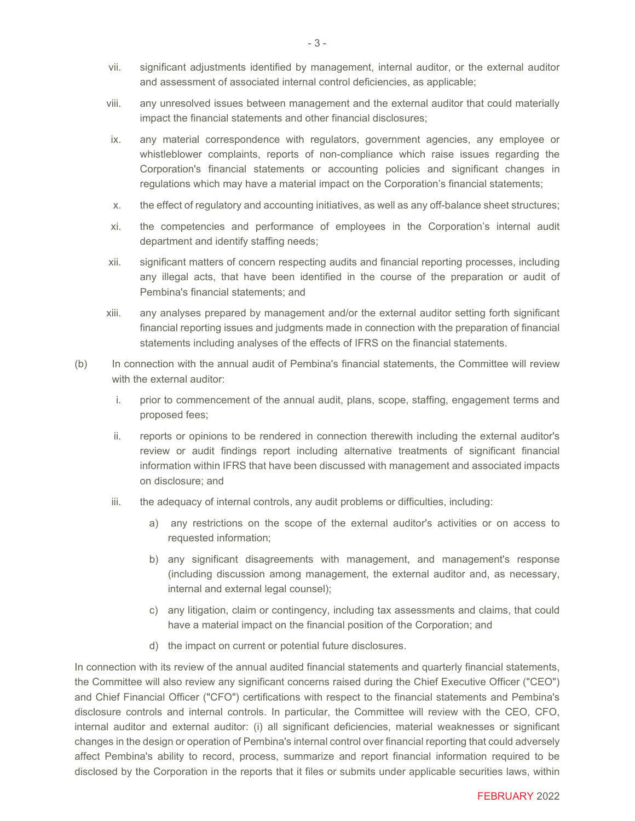- vii. significant adjustments identified by management, internal auditor, or the external auditor and assessment of associated internal control deficiencies, as applicable;
- viii. any unresolved issues between management and the external auditor that could materially impact the financial statements and other financial disclosures;
- ix. any material correspondence with regulators, government agencies, any employee or whistleblower complaints, reports of non-compliance which raise issues regarding the Corporation's financial statements or accounting policies and significant changes in regulations which may have a material impact on the Corporation's financial statements;
- x. the effect of regulatory and accounting initiatives, as well as any off-balance sheet structures;
- xi. the competencies and performance of employees in the Corporation's internal audit department and identify staffing needs;
- xii. significant matters of concern respecting audits and financial reporting processes, including any illegal acts, that have been identified in the course of the preparation or audit of Pembina's financial statements; and
- xiii. any analyses prepared by management and/or the external auditor setting forth significant financial reporting issues and judgments made in connection with the preparation of financial statements including analyses of the effects of IFRS on the financial statements.
- (b) In connection with the annual audit of Pembina's financial statements, the Committee will review with the external auditor:
	- i. prior to commencement of the annual audit, plans, scope, staffing, engagement terms and proposed fees;
	- ii. reports or opinions to be rendered in connection therewith including the external auditor's review or audit findings report including alternative treatments of significant financial information within IFRS that have been discussed with management and associated impacts on disclosure; and
	- iii. the adequacy of internal controls, any audit problems or difficulties, including:
		- a) any restrictions on the scope of the external auditor's activities or on access to requested information;
		- b) any significant disagreements with management, and management's response (including discussion among management, the external auditor and, as necessary, internal and external legal counsel);
		- c) any litigation, claim or contingency, including tax assessments and claims, that could have a material impact on the financial position of the Corporation; and
		- d) the impact on current or potential future disclosures.

In connection with its review of the annual audited financial statements and quarterly financial statements, the Committee will also review any significant concerns raised during the Chief Executive Officer ("CEO") and Chief Financial Officer ("CFO") certifications with respect to the financial statements and Pembina's disclosure controls and internal controls. In particular, the Committee will review with the CEO, CFO, internal auditor and external auditor: (i) all significant deficiencies, material weaknesses or significant changes in the design or operation of Pembina's internal control over financial reporting that could adversely affect Pembina's ability to record, process, summarize and report financial information required to be disclosed by the Corporation in the reports that it files or submits under applicable securities laws, within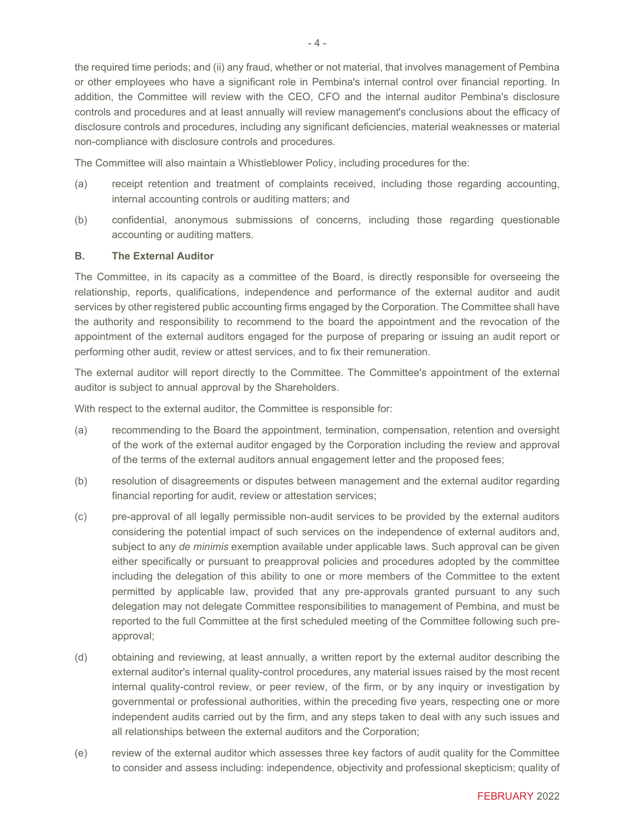the required time periods; and (ii) any fraud, whether or not material, that involves management of Pembina or other employees who have a significant role in Pembina's internal control over financial reporting. In addition, the Committee will review with the CEO, CFO and the internal auditor Pembina's disclosure controls and procedures and at least annually will review management's conclusions about the efficacy of disclosure controls and procedures, including any significant deficiencies, material weaknesses or material non-compliance with disclosure controls and procedures.

The Committee will also maintain a Whistleblower Policy, including procedures for the:

- (a) receipt retention and treatment of complaints received, including those regarding accounting, internal accounting controls or auditing matters; and
- (b) confidential, anonymous submissions of concerns, including those regarding questionable accounting or auditing matters.

#### **B. The External Auditor**

The Committee, in its capacity as a committee of the Board, is directly responsible for overseeing the relationship, reports, qualifications, independence and performance of the external auditor and audit services by other registered public accounting firms engaged by the Corporation. The Committee shall have the authority and responsibility to recommend to the board the appointment and the revocation of the appointment of the external auditors engaged for the purpose of preparing or issuing an audit report or performing other audit, review or attest services, and to fix their remuneration.

The external auditor will report directly to the Committee. The Committee's appointment of the external auditor is subject to annual approval by the Shareholders.

With respect to the external auditor, the Committee is responsible for:

- (a) recommending to the Board the appointment, termination, compensation, retention and oversight of the work of the external auditor engaged by the Corporation including the review and approval of the terms of the external auditors annual engagement letter and the proposed fees;
- (b) resolution of disagreements or disputes between management and the external auditor regarding financial reporting for audit, review or attestation services;
- (c) pre-approval of all legally permissible non-audit services to be provided by the external auditors considering the potential impact of such services on the independence of external auditors and, subject to any *de minimis* exemption available under applicable laws. Such approval can be given either specifically or pursuant to preapproval policies and procedures adopted by the committee including the delegation of this ability to one or more members of the Committee to the extent permitted by applicable law, provided that any pre-approvals granted pursuant to any such delegation may not delegate Committee responsibilities to management of Pembina, and must be reported to the full Committee at the first scheduled meeting of the Committee following such preapproval;
- (d) obtaining and reviewing, at least annually, a written report by the external auditor describing the external auditor's internal quality-control procedures, any material issues raised by the most recent internal quality-control review, or peer review, of the firm, or by any inquiry or investigation by governmental or professional authorities, within the preceding five years, respecting one or more independent audits carried out by the firm, and any steps taken to deal with any such issues and all relationships between the external auditors and the Corporation;
- (e) review of the external auditor which assesses three key factors of audit quality for the Committee to consider and assess including: independence, objectivity and professional skepticism; quality of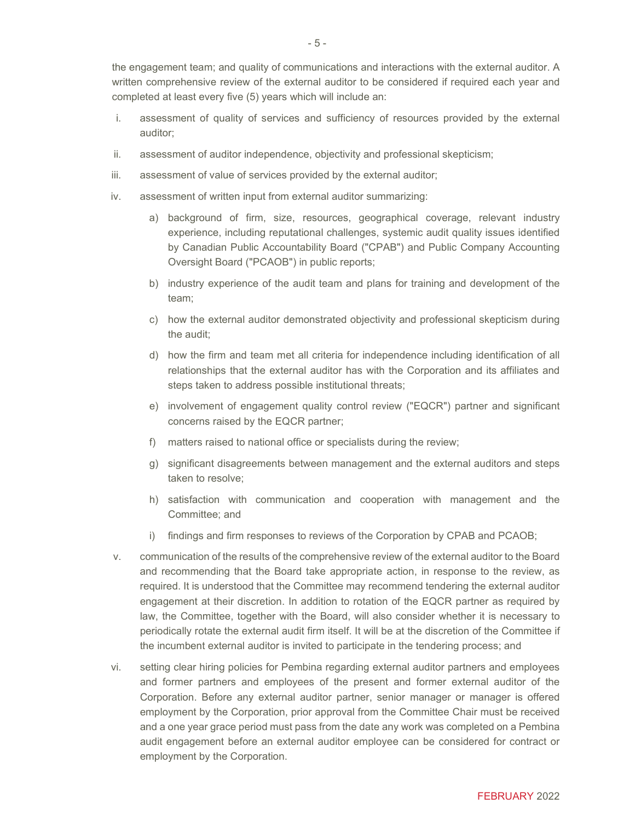the engagement team; and quality of communications and interactions with the external auditor. A written comprehensive review of the external auditor to be considered if required each year and completed at least every five (5) years which will include an:

- i. assessment of quality of services and sufficiency of resources provided by the external auditor;
- ii. assessment of auditor independence, objectivity and professional skepticism;
- iii. assessment of value of services provided by the external auditor;
- iv. assessment of written input from external auditor summarizing:
	- a) background of firm, size, resources, geographical coverage, relevant industry experience, including reputational challenges, systemic audit quality issues identified by Canadian Public Accountability Board ("CPAB") and Public Company Accounting Oversight Board ("PCAOB") in public reports;
	- b) industry experience of the audit team and plans for training and development of the team;
	- c) how the external auditor demonstrated objectivity and professional skepticism during the audit;
	- d) how the firm and team met all criteria for independence including identification of all relationships that the external auditor has with the Corporation and its affiliates and steps taken to address possible institutional threats;
	- e) involvement of engagement quality control review ("EQCR") partner and significant concerns raised by the EQCR partner;
	- f) matters raised to national office or specialists during the review;
	- g) significant disagreements between management and the external auditors and steps taken to resolve;
	- h) satisfaction with communication and cooperation with management and the Committee; and
	- i) findings and firm responses to reviews of the Corporation by CPAB and PCAOB;
- v. communication of the results of the comprehensive review of the external auditor to the Board and recommending that the Board take appropriate action, in response to the review, as required. It is understood that the Committee may recommend tendering the external auditor engagement at their discretion. In addition to rotation of the EQCR partner as required by law, the Committee, together with the Board, will also consider whether it is necessary to periodically rotate the external audit firm itself. It will be at the discretion of the Committee if the incumbent external auditor is invited to participate in the tendering process; and
- vi. setting clear hiring policies for Pembina regarding external auditor partners and employees and former partners and employees of the present and former external auditor of the Corporation. Before any external auditor partner, senior manager or manager is offered employment by the Corporation, prior approval from the Committee Chair must be received and a one year grace period must pass from the date any work was completed on a Pembina audit engagement before an external auditor employee can be considered for contract or employment by the Corporation.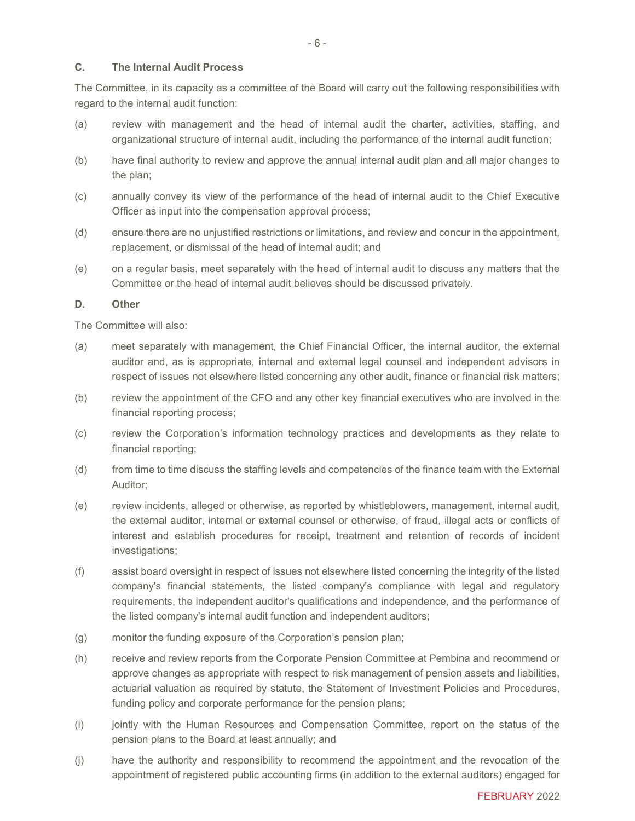#### **C. The Internal Audit Process**

The Committee, in its capacity as a committee of the Board will carry out the following responsibilities with regard to the internal audit function:

- (a) review with management and the head of internal audit the charter, activities, staffing, and organizational structure of internal audit, including the performance of the internal audit function;
- (b) have final authority to review and approve the annual internal audit plan and all major changes to the plan;
- (c) annually convey its view of the performance of the head of internal audit to the Chief Executive Officer as input into the compensation approval process;
- (d) ensure there are no unjustified restrictions or limitations, and review and concur in the appointment, replacement, or dismissal of the head of internal audit; and
- (e) on a regular basis, meet separately with the head of internal audit to discuss any matters that the Committee or the head of internal audit believes should be discussed privately.

#### **D. Other**

The Committee will also:

- (a) meet separately with management, the Chief Financial Officer, the internal auditor, the external auditor and, as is appropriate, internal and external legal counsel and independent advisors in respect of issues not elsewhere listed concerning any other audit, finance or financial risk matters;
- (b) review the appointment of the CFO and any other key financial executives who are involved in the financial reporting process;
- (c) review the Corporation's information technology practices and developments as they relate to financial reporting;
- (d) from time to time discuss the staffing levels and competencies of the finance team with the External Auditor;
- (e) review incidents, alleged or otherwise, as reported by whistleblowers, management, internal audit, the external auditor, internal or external counsel or otherwise, of fraud, illegal acts or conflicts of interest and establish procedures for receipt, treatment and retention of records of incident investigations;
- (f) assist board oversight in respect of issues not elsewhere listed concerning the integrity of the listed company's financial statements, the listed company's compliance with legal and regulatory requirements, the independent auditor's qualifications and independence, and the performance of the listed company's internal audit function and independent auditors;
- (g) monitor the funding exposure of the Corporation's pension plan;
- (h) receive and review reports from the Corporate Pension Committee at Pembina and recommend or approve changes as appropriate with respect to risk management of pension assets and liabilities, actuarial valuation as required by statute, the Statement of Investment Policies and Procedures, funding policy and corporate performance for the pension plans;
- (i) jointly with the Human Resources and Compensation Committee, report on the status of the pension plans to the Board at least annually; and
- (j) have the authority and responsibility to recommend the appointment and the revocation of the appointment of registered public accounting firms (in addition to the external auditors) engaged for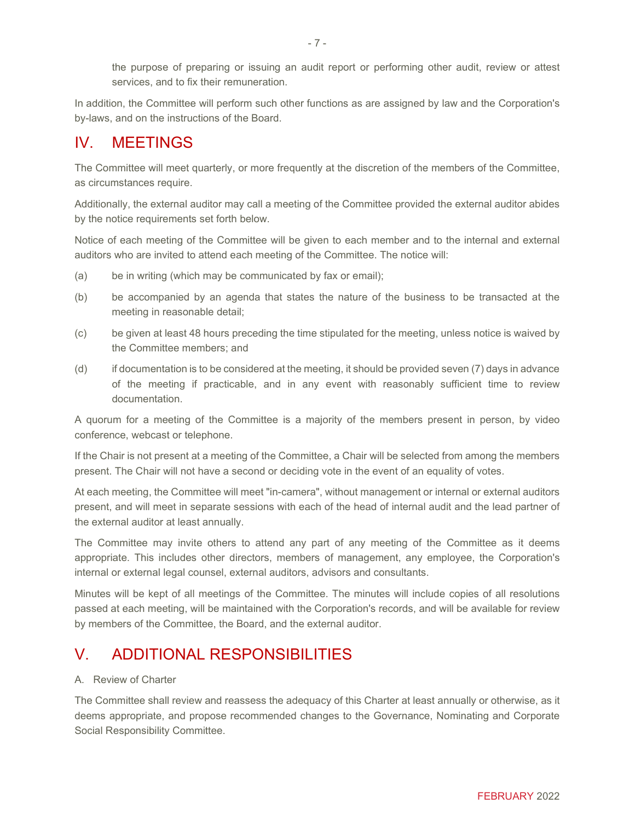the purpose of preparing or issuing an audit report or performing other audit, review or attest services, and to fix their remuneration.

In addition, the Committee will perform such other functions as are assigned by law and the Corporation's by-laws, and on the instructions of the Board.

## IV. MEETINGS

The Committee will meet quarterly, or more frequently at the discretion of the members of the Committee, as circumstances require.

Additionally, the external auditor may call a meeting of the Committee provided the external auditor abides by the notice requirements set forth below.

Notice of each meeting of the Committee will be given to each member and to the internal and external auditors who are invited to attend each meeting of the Committee. The notice will:

- (a) be in writing (which may be communicated by fax or email);
- (b) be accompanied by an agenda that states the nature of the business to be transacted at the meeting in reasonable detail;
- (c) be given at least 48 hours preceding the time stipulated for the meeting, unless notice is waived by the Committee members; and
- (d) if documentation is to be considered at the meeting, it should be provided seven (7) days in advance of the meeting if practicable, and in any event with reasonably sufficient time to review documentation.

A quorum for a meeting of the Committee is a majority of the members present in person, by video conference, webcast or telephone.

If the Chair is not present at a meeting of the Committee, a Chair will be selected from among the members present. The Chair will not have a second or deciding vote in the event of an equality of votes.

At each meeting, the Committee will meet "in-camera", without management or internal or external auditors present, and will meet in separate sessions with each of the head of internal audit and the lead partner of the external auditor at least annually.

The Committee may invite others to attend any part of any meeting of the Committee as it deems appropriate. This includes other directors, members of management, any employee, the Corporation's internal or external legal counsel, external auditors, advisors and consultants.

Minutes will be kept of all meetings of the Committee. The minutes will include copies of all resolutions passed at each meeting, will be maintained with the Corporation's records, and will be available for review by members of the Committee, the Board, and the external auditor.

## V. ADDITIONAL RESPONSIBILITIES

#### A. Review of Charter

The Committee shall review and reassess the adequacy of this Charter at least annually or otherwise, as it deems appropriate, and propose recommended changes to the Governance, Nominating and Corporate Social Responsibility Committee.